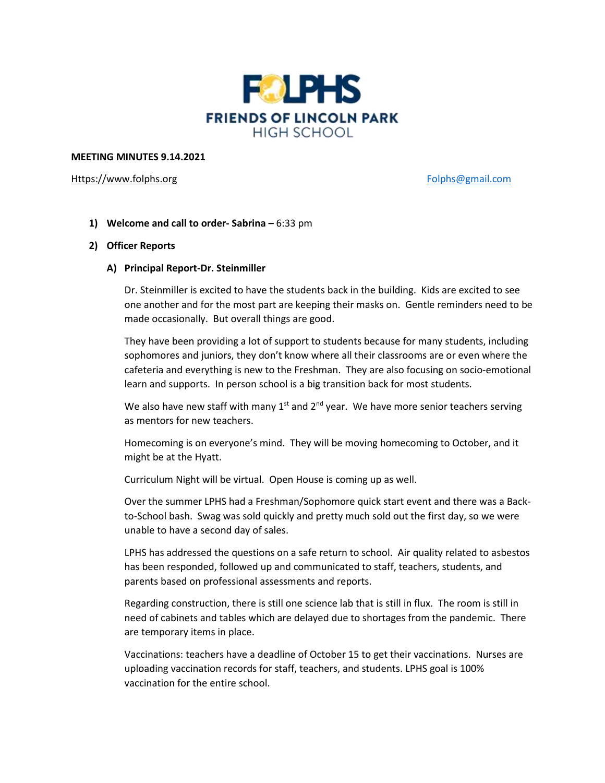

## **MEETING MINUTES 9.14.2021**

## [Https://www.folphs.org](https://www.folphs.org/) [Folphs@gmail.com](mailto:Folphs@gmail.com)

**1) Welcome and call to order- Sabrina –** 6:33 pm

# **2) Officer Reports**

# **A) Principal Report-Dr. Steinmiller**

Dr. Steinmiller is excited to have the students back in the building. Kids are excited to see one another and for the most part are keeping their masks on. Gentle reminders need to be made occasionally. But overall things are good.

They have been providing a lot of support to students because for many students, including sophomores and juniors, they don't know where all their classrooms are or even where the cafeteria and everything is new to the Freshman. They are also focusing on socio-emotional learn and supports. In person school is a big transition back for most students.

We also have new staff with many 1<sup>st</sup> and 2<sup>nd</sup> year. We have more senior teachers serving as mentors for new teachers.

Homecoming is on everyone's mind. They will be moving homecoming to October, and it might be at the Hyatt.

Curriculum Night will be virtual. Open House is coming up as well.

Over the summer LPHS had a Freshman/Sophomore quick start event and there was a Backto-School bash. Swag was sold quickly and pretty much sold out the first day, so we were unable to have a second day of sales.

LPHS has addressed the questions on a safe return to school. Air quality related to asbestos has been responded, followed up and communicated to staff, teachers, students, and parents based on professional assessments and reports.

Regarding construction, there is still one science lab that is still in flux. The room is still in need of cabinets and tables which are delayed due to shortages from the pandemic. There are temporary items in place.

Vaccinations: teachers have a deadline of October 15 to get their vaccinations. Nurses are uploading vaccination records for staff, teachers, and students. LPHS goal is 100% vaccination for the entire school.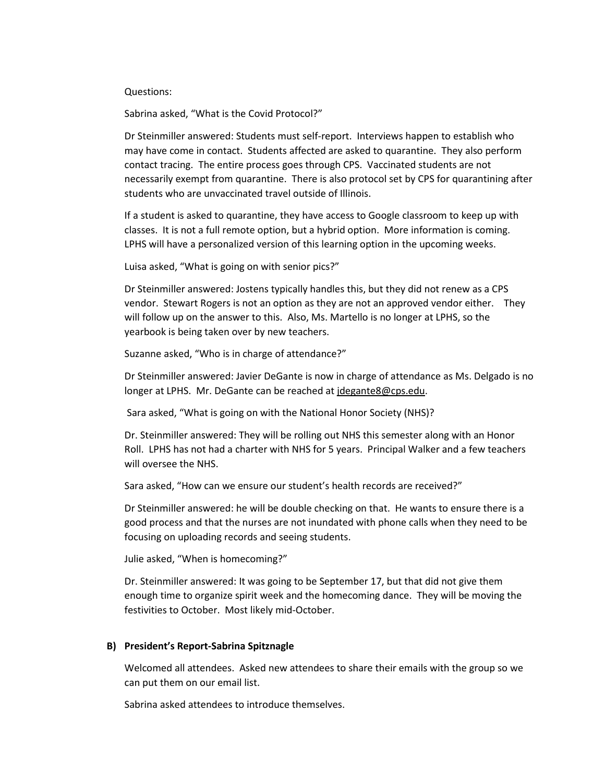Questions:

Sabrina asked, "What is the Covid Protocol?"

Dr Steinmiller answered: Students must self-report. Interviews happen to establish who may have come in contact. Students affected are asked to quarantine. They also perform contact tracing. The entire process goes through CPS. Vaccinated students are not necessarily exempt from quarantine. There is also protocol set by CPS for quarantining after students who are unvaccinated travel outside of Illinois.

If a student is asked to quarantine, they have access to Google classroom to keep up with classes. It is not a full remote option, but a hybrid option. More information is coming. LPHS will have a personalized version of this learning option in the upcoming weeks.

Luisa asked, "What is going on with senior pics?"

Dr Steinmiller answered: Jostens typically handles this, but they did not renew as a CPS vendor. Stewart Rogers is not an option as they are not an approved vendor either. They will follow up on the answer to this. Also, Ms. Martello is no longer at LPHS, so the yearbook is being taken over by new teachers.

Suzanne asked, "Who is in charge of attendance?"

Dr Steinmiller answered: Javier DeGante is now in charge of attendance as Ms. Delgado is no longer at LPHS. Mr. DeGante can be reached at *idegante8@cps.edu*.

Sara asked, "What is going on with the National Honor Society (NHS)?

Dr. Steinmiller answered: They will be rolling out NHS this semester along with an Honor Roll. LPHS has not had a charter with NHS for 5 years. Principal Walker and a few teachers will oversee the NHS.

Sara asked, "How can we ensure our student's health records are received?"

Dr Steinmiller answered: he will be double checking on that. He wants to ensure there is a good process and that the nurses are not inundated with phone calls when they need to be focusing on uploading records and seeing students.

Julie asked, "When is homecoming?"

Dr. Steinmiller answered: It was going to be September 17, but that did not give them enough time to organize spirit week and the homecoming dance. They will be moving the festivities to October. Most likely mid-October.

## **B) President's Report-Sabrina Spitznagle**

Welcomed all attendees. Asked new attendees to share their emails with the group so we can put them on our email list.

Sabrina asked attendees to introduce themselves.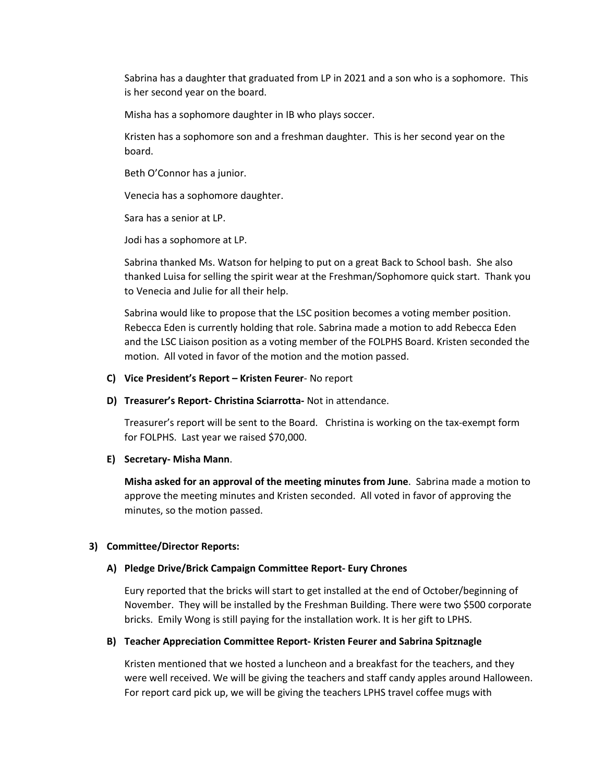Sabrina has a daughter that graduated from LP in 2021 and a son who is a sophomore. This is her second year on the board.

Misha has a sophomore daughter in IB who plays soccer.

Kristen has a sophomore son and a freshman daughter. This is her second year on the board.

Beth O'Connor has a junior.

Venecia has a sophomore daughter.

Sara has a senior at LP.

Jodi has a sophomore at LP.

Sabrina thanked Ms. Watson for helping to put on a great Back to School bash. She also thanked Luisa for selling the spirit wear at the Freshman/Sophomore quick start. Thank you to Venecia and Julie for all their help.

Sabrina would like to propose that the LSC position becomes a voting member position. Rebecca Eden is currently holding that role. Sabrina made a motion to add Rebecca Eden and the LSC Liaison position as a voting member of the FOLPHS Board. Kristen seconded the motion. All voted in favor of the motion and the motion passed.

### **C) Vice President's Report – Kristen Feurer**- No report

**D) Treasurer's Report- Christina Sciarrotta-** Not in attendance.

Treasurer's report will be sent to the Board. Christina is working on the tax-exempt form for FOLPHS. Last year we raised \$70,000.

**E) Secretary- Misha Mann**.

**Misha asked for an approval of the meeting minutes from June**. Sabrina made a motion to approve the meeting minutes and Kristen seconded. All voted in favor of approving the minutes, so the motion passed.

# **3) Committee/Director Reports:**

#### **A) Pledge Drive/Brick Campaign Committee Report- Eury Chrones**

Eury reported that the bricks will start to get installed at the end of October/beginning of November. They will be installed by the Freshman Building. There were two \$500 corporate bricks. Emily Wong is still paying for the installation work. It is her gift to LPHS.

# **B) Teacher Appreciation Committee Report- Kristen Feurer and Sabrina Spitznagle**

Kristen mentioned that we hosted a luncheon and a breakfast for the teachers, and they were well received. We will be giving the teachers and staff candy apples around Halloween. For report card pick up, we will be giving the teachers LPHS travel coffee mugs with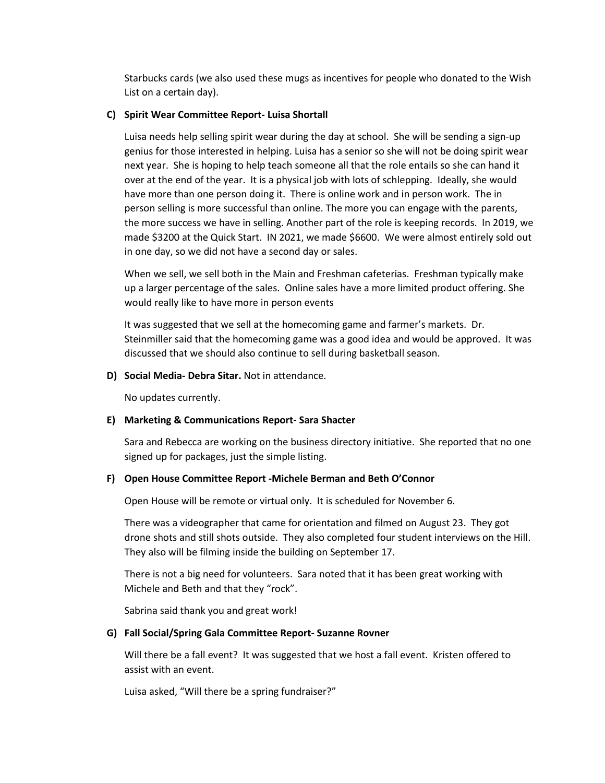Starbucks cards (we also used these mugs as incentives for people who donated to the Wish List on a certain day).

# **C) Spirit Wear Committee Report- Luisa Shortall**

Luisa needs help selling spirit wear during the day at school. She will be sending a sign-up genius for those interested in helping. Luisa has a senior so she will not be doing spirit wear next year. She is hoping to help teach someone all that the role entails so she can hand it over at the end of the year. It is a physical job with lots of schlepping. Ideally, she would have more than one person doing it. There is online work and in person work. The in person selling is more successful than online. The more you can engage with the parents, the more success we have in selling. Another part of the role is keeping records. In 2019, we made \$3200 at the Quick Start. IN 2021, we made \$6600. We were almost entirely sold out in one day, so we did not have a second day or sales.

When we sell, we sell both in the Main and Freshman cafeterias. Freshman typically make up a larger percentage of the sales. Online sales have a more limited product offering. She would really like to have more in person events

It was suggested that we sell at the homecoming game and farmer's markets. Dr. Steinmiller said that the homecoming game was a good idea and would be approved. It was discussed that we should also continue to sell during basketball season.

**D) Social Media- Debra Sitar.** Not in attendance.

No updates currently.

# **E) Marketing & Communications Report- Sara Shacter**

Sara and Rebecca are working on the business directory initiative. She reported that no one signed up for packages, just the simple listing.

# **F) Open House Committee Report -Michele Berman and Beth O'Connor**

Open House will be remote or virtual only. It is scheduled for November 6.

There was a videographer that came for orientation and filmed on August 23. They got drone shots and still shots outside. They also completed four student interviews on the Hill. They also will be filming inside the building on September 17.

There is not a big need for volunteers. Sara noted that it has been great working with Michele and Beth and that they "rock".

Sabrina said thank you and great work!

#### **G) Fall Social/Spring Gala Committee Report- Suzanne Rovner**

Will there be a fall event? It was suggested that we host a fall event. Kristen offered to assist with an event.

Luisa asked, "Will there be a spring fundraiser?"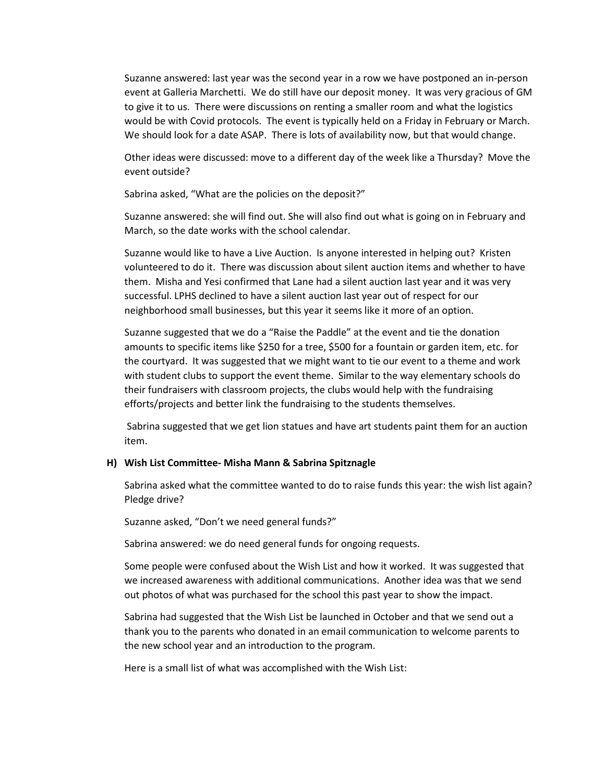Suzanne answered: last year was the second year in a row we have postponed an in-person event at Galleria Marchetti. We do still have our deposit money. It was very gracious of GM to give it to us. There were discussions on renting a smaller room and what the logistics would be with Covid protocols. The event is typically held on a Friday in February or March. We should look for a date ASAP. There is lots of availability now, but that would change.

Other ideas were discussed: move to a different day of the week like a Thursday? Move the event outside?

Sabrina asked, "What are the policies on the deposit?"

Suzanne answered: she will find out. She will also find out what is going on in February and March, so the date works with the school calendar.

Suzanne would like to have a Live Auction. Is anyone interested in helping out? Kristen volunteered to do it. There was discussion about silent auction items and whether to have them. Misha and Yesi confirmed that Lane had a silent auction last year and it was very successful. LPHS declined to have a silent auction last year out of respect for our neighborhood small businesses, but this year it seems like it more of an option.

Suzanne suggested that we do a "Raise the Paddle" at the event and tie the donation amounts to specific items like \$250 for a tree, \$500 for a fountain or garden item, etc. for the courtyard. It was suggested that we might want to tie our event to a theme and work with student clubs to support the event theme. Similar to the way elementary schools do their fundraisers with classroom projects, the clubs would help with the fundraising efforts/projects and better link the fundraising to the students themselves.

Sabrina suggested that we get lion statues and have art students paint them for an auction item.

# **H) Wish List Committee- Misha Mann & Sabrina Spitznagle**

Sabrina asked what the committee wanted to do to raise funds this year: the wish list again? Pledge drive?

Suzanne asked, "Don't we need general funds?"

Sabrina answered: we do need general funds for ongoing requests.

Some people were confused about the Wish List and how it worked. It was suggested that we increased awareness with additional communications. Another idea was that we send out photos of what was purchased for the school this past year to show the impact.

Sabrina had suggested that the Wish List be launched in October and that we send out a thank you to the parents who donated in an email communication to welcome parents to the new school year and an introduction to the program.

Here is a small list of what was accomplished with the Wish List: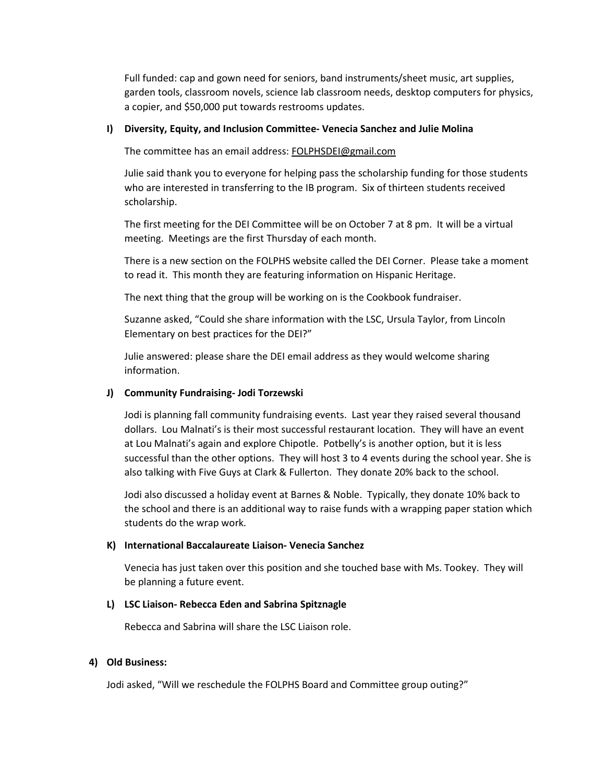Full funded: cap and gown need for seniors, band instruments/sheet music, art supplies, garden tools, classroom novels, science lab classroom needs, desktop computers for physics, a copier, and \$50,000 put towards restrooms updates.

# **I) Diversity, Equity, and Inclusion Committee- Venecia Sanchez and Julie Molina**

The committee has an email address: [FOLPHSDEI@gmail.com](mailto:FOLPHSDEI@gmail.com)

Julie said thank you to everyone for helping pass the scholarship funding for those students who are interested in transferring to the IB program. Six of thirteen students received scholarship.

The first meeting for the DEI Committee will be on October 7 at 8 pm. It will be a virtual meeting. Meetings are the first Thursday of each month.

There is a new section on the FOLPHS website called the DEI Corner. Please take a moment to read it. This month they are featuring information on Hispanic Heritage.

The next thing that the group will be working on is the Cookbook fundraiser.

Suzanne asked, "Could she share information with the LSC, Ursula Taylor, from Lincoln Elementary on best practices for the DEI?"

Julie answered: please share the DEI email address as they would welcome sharing information.

# **J) Community Fundraising- Jodi Torzewski**

Jodi is planning fall community fundraising events. Last year they raised several thousand dollars. Lou Malnati's is their most successful restaurant location. They will have an event at Lou Malnati's again and explore Chipotle. Potbelly's is another option, but it is less successful than the other options. They will host 3 to 4 events during the school year. She is also talking with Five Guys at Clark & Fullerton. They donate 20% back to the school.

Jodi also discussed a holiday event at Barnes & Noble. Typically, they donate 10% back to the school and there is an additional way to raise funds with a wrapping paper station which students do the wrap work.

# **K) International Baccalaureate Liaison- Venecia Sanchez**

Venecia has just taken over this position and she touched base with Ms. Tookey. They will be planning a future event.

# **L) LSC Liaison- Rebecca Eden and Sabrina Spitznagle**

Rebecca and Sabrina will share the LSC Liaison role.

# **4) Old Business:**

Jodi asked, "Will we reschedule the FOLPHS Board and Committee group outing?"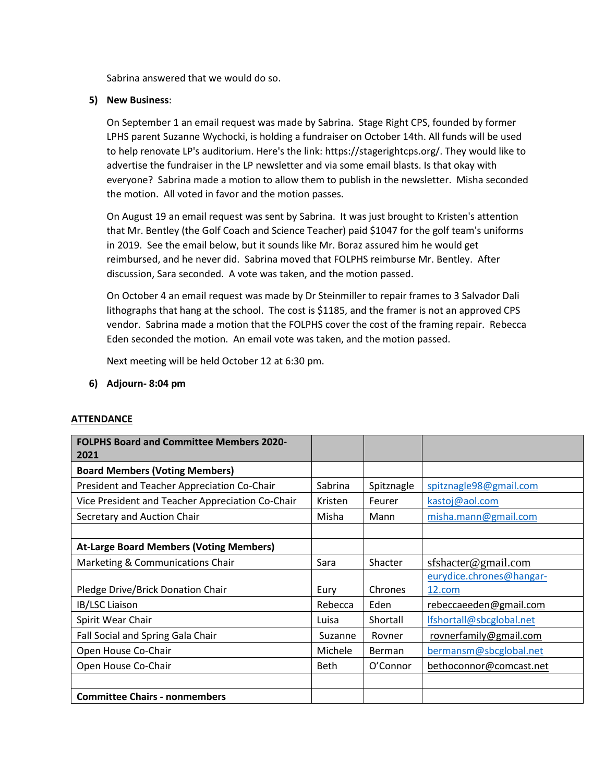Sabrina answered that we would do so.

# **5) New Business**:

On September 1 an email request was made by Sabrina. Stage Right CPS, founded by former LPHS parent Suzanne Wychocki, is holding a fundraiser on October 14th. All funds will be used to help renovate LP's auditorium. Here's the link: [https://stagerightcps.org/.](https://stagerightcps.org/) They would like to advertise the fundraiser in the LP newsletter and via some email blasts. Is that okay with everyone? Sabrina made a motion to allow them to publish in the newsletter. Misha seconded the motion. All voted in favor and the motion passes.

On August 19 an email request was sent by Sabrina. It was just brought to Kristen's attention that Mr. Bentley (the Golf Coach and Science Teacher) paid \$1047 for the golf team's uniforms in 2019. See the email below, but it sounds like Mr. Boraz assured him he would get reimbursed, and he never did. Sabrina moved that FOLPHS reimburse Mr. Bentley. After discussion, Sara seconded. A vote was taken, and the motion passed.

On October 4 an email request was made by Dr Steinmiller to repair frames to 3 Salvador Dali lithographs that hang at the school. The cost is \$1185, and the framer is not an approved CPS vendor. Sabrina made a motion that the FOLPHS cover the cost of the framing repair. Rebecca Eden seconded the motion. An email vote was taken, and the motion passed.

Next meeting will be held October 12 at 6:30 pm.

# **6) Adjourn- 8:04 pm**

# **ATTENDANCE**

| <b>FOLPHS Board and Committee Members 2020-</b><br>2021 |             |               |                          |
|---------------------------------------------------------|-------------|---------------|--------------------------|
| <b>Board Members (Voting Members)</b>                   |             |               |                          |
| President and Teacher Appreciation Co-Chair             | Sabrina     | Spitznagle    | spitznagle98@gmail.com   |
| Vice President and Teacher Appreciation Co-Chair        | Kristen     | Feurer        | kastoj@aol.com           |
| Secretary and Auction Chair                             | Misha       | Mann          | misha.mann@gmail.com     |
|                                                         |             |               |                          |
| <b>At-Large Board Members (Voting Members)</b>          |             |               |                          |
| Marketing & Communications Chair                        | Sara        | Shacter       | sfshacter@gmail.com      |
|                                                         |             |               | eurydice.chrones@hangar- |
| Pledge Drive/Brick Donation Chair                       | Eury        | Chrones       | 12.com                   |
| IB/LSC Liaison                                          | Rebecca     | Eden          | rebeccaeeden@gmail.com   |
| Spirit Wear Chair                                       | Luisa       | Shortall      | lfshortall@sbcglobal.net |
| Fall Social and Spring Gala Chair                       | Suzanne     | Rovner        | rovnerfamily@gmail.com   |
| Open House Co-Chair                                     | Michele     | <b>Berman</b> | bermansm@sbcglobal.net   |
| Open House Co-Chair                                     | <b>Beth</b> | O'Connor      | bethoconnor@comcast.net  |
|                                                         |             |               |                          |
| <b>Committee Chairs - nonmembers</b>                    |             |               |                          |